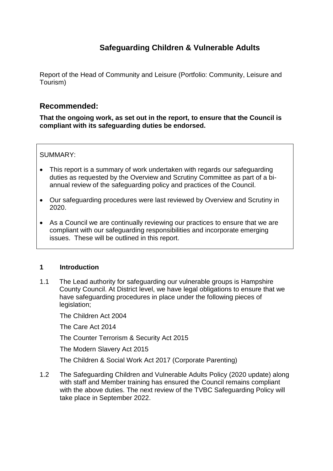# **Safeguarding Children & Vulnerable Adults**

Report of the Head of Community and Leisure (Portfolio: Community, Leisure and Tourism)

# **Recommended:**

**That the ongoing work, as set out in the report, to ensure that the Council is compliant with its safeguarding duties be endorsed.**

SUMMARY:

- This report is a summary of work undertaken with regards our safeguarding duties as requested by the Overview and Scrutiny Committee as part of a biannual review of the safeguarding policy and practices of the Council.
- Our safeguarding procedures were last reviewed by Overview and Scrutiny in 2020.
- As a Council we are continually reviewing our practices to ensure that we are compliant with our safeguarding responsibilities and incorporate emerging issues. These will be outlined in this report.

#### **1 Introduction**

1.1 The Lead authority for safeguarding our vulnerable groups is Hampshire County Council. At District level, we have legal obligations to ensure that we have safeguarding procedures in place under the following pieces of legislation;

The Children Act 2004

The Care Act 2014

The Counter Terrorism & Security Act 2015

The Modern Slavery Act 2015

The Children & Social Work Act 2017 (Corporate Parenting)

1.2 The Safeguarding Children and Vulnerable Adults Policy (2020 update) along with staff and Member training has ensured the Council remains compliant with the above duties. The next review of the TVBC Safeguarding Policy will take place in September 2022.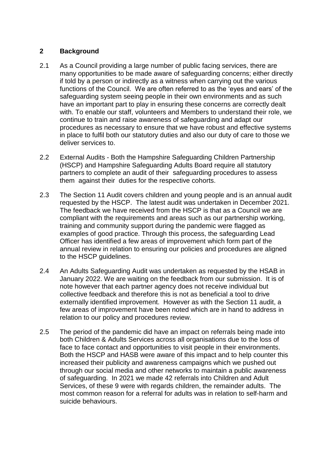## **2 Background**

- 2.1 As a Council providing a large number of public facing services, there are many opportunities to be made aware of safeguarding concerns; either directly if told by a person or indirectly as a witness when carrying out the various functions of the Council. We are often referred to as the 'eyes and ears' of the safeguarding system seeing people in their own environments and as such have an important part to play in ensuring these concerns are correctly dealt with. To enable our staff, volunteers and Members to understand their role, we continue to train and raise awareness of safeguarding and adapt our procedures as necessary to ensure that we have robust and effective systems in place to fulfil both our statutory duties and also our duty of care to those we deliver services to.
- 2.2 External Audits Both the Hampshire Safeguarding Children Partnership (HSCP) and Hampshire Safeguarding Adults Board require all statutory partners to complete an audit of their safeguarding procedures to assess them against their duties for the respective cohorts.
- 2.3 The Section 11 Audit covers children and young people and is an annual audit requested by the HSCP. The latest audit was undertaken in December 2021. The feedback we have received from the HSCP is that as a Council we are compliant with the requirements and areas such as our partnership working, training and community support during the pandemic were flagged as examples of good practice. Through this process, the safeguarding Lead Officer has identified a few areas of improvement which form part of the annual review in relation to ensuring our policies and procedures are aligned to the HSCP guidelines.
- 2.4 An Adults Safeguarding Audit was undertaken as requested by the HSAB in January 2022. We are waiting on the feedback from our submission. It is of note however that each partner agency does not receive individual but collective feedback and therefore this is not as beneficial a tool to drive externally identified improvement. However as with the Section 11 audit, a few areas of improvement have been noted which are in hand to address in relation to our policy and procedures review.
- 2.5 The period of the pandemic did have an impact on referrals being made into both Children & Adults Services across all organisations due to the loss of face to face contact and opportunities to visit people in their environments. Both the HSCP and HASB were aware of this impact and to help counter this increased their publicity and awareness campaigns which we pushed out through our social media and other networks to maintain a public awareness of safeguarding. In 2021 we made 42 referrals into Children and Adult Services, of these 9 were with regards children, the remainder adults. The most common reason for a referral for adults was in relation to self-harm and suicide behaviours.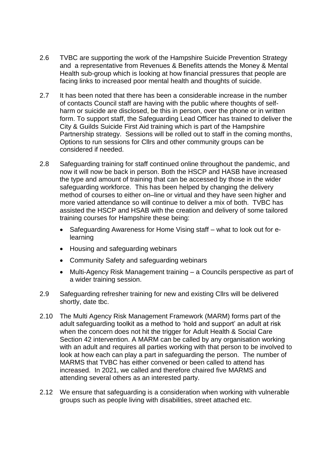- 2.6 TVBC are supporting the work of the Hampshire Suicide Prevention Strategy and a representative from Revenues & Benefits attends the Money & Mental Health sub-group which is looking at how financial pressures that people are facing links to increased poor mental health and thoughts of suicide.
- 2.7 It has been noted that there has been a considerable increase in the number of contacts Council staff are having with the public where thoughts of selfharm or suicide are disclosed, be this in person, over the phone or in written form. To support staff, the Safeguarding Lead Officer has trained to deliver the City & Guilds Suicide First Aid training which is part of the Hampshire Partnership strategy. Sessions will be rolled out to staff in the coming months, Options to run sessions for Cllrs and other community groups can be considered if needed.
- 2.8 Safeguarding training for staff continued online throughout the pandemic, and now it will now be back in person. Both the HSCP and HASB have increased the type and amount of training that can be accessed by those in the wider safeguarding workforce. This has been helped by changing the delivery method of courses to either on–line or virtual and they have seen higher and more varied attendance so will continue to deliver a mix of both. TVBC has assisted the HSCP and HSAB with the creation and delivery of some tailored training courses for Hampshire these being:
	- Safeguarding Awareness for Home Vising staff what to look out for elearning
	- Housing and safeguarding webinars
	- Community Safety and safeguarding webinars
	- Multi-Agency Risk Management training a Councils perspective as part of a wider training session.
- 2.9 Safeguarding refresher training for new and existing Cllrs will be delivered shortly, date tbc.
- 2.10 The Multi Agency Risk Management Framework (MARM) forms part of the adult safeguarding toolkit as a method to 'hold and support' an adult at risk when the concern does not hit the trigger for Adult Health & Social Care Section 42 intervention. A MARM can be called by any organisation working with an adult and requires all parties working with that person to be involved to look at how each can play a part in safeguarding the person. The number of MARMS that TVBC has either convened or been called to attend has increased. In 2021, we called and therefore chaired five MARMS and attending several others as an interested party.
- 2.12 We ensure that safeguarding is a consideration when working with vulnerable groups such as people living with disabilities, street attached etc.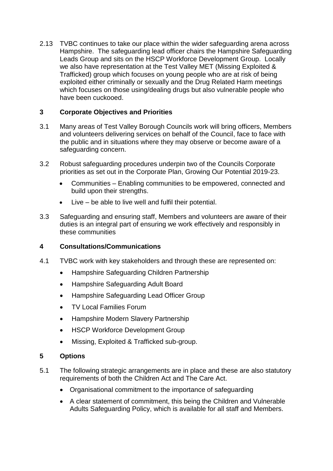2.13 TVBC continues to take our place within the wider safeguarding arena across Hampshire. The safeguarding lead officer chairs the Hampshire Safeguarding Leads Group and sits on the HSCP Workforce Development Group. Locally we also have representation at the Test Valley MET (Missing Exploited & Trafficked) group which focuses on young people who are at risk of being exploited either criminally or sexually and the Drug Related Harm meetings which focuses on those using/dealing drugs but also vulnerable people who have been cuckooed.

# **3 Corporate Objectives and Priorities**

- 3.1 Many areas of Test Valley Borough Councils work will bring officers, Members and volunteers delivering services on behalf of the Council, face to face with the public and in situations where they may observe or become aware of a safeguarding concern.
- 3.2 Robust safeguarding procedures underpin two of the Councils Corporate priorities as set out in the Corporate Plan, Growing Our Potential 2019-23.
	- Communities Enabling communities to be empowered, connected and build upon their strengths.
	- Live be able to live well and fulfil their potential.
- 3.3 Safeguarding and ensuring staff, Members and volunteers are aware of their duties is an integral part of ensuring we work effectively and responsibly in these communities

## **4 Consultations/Communications**

- 4.1 TVBC work with key stakeholders and through these are represented on:
	- Hampshire Safeguarding Children Partnership
	- Hampshire Safeguarding Adult Board
	- Hampshire Safeguarding Lead Officer Group
	- TV Local Families Forum
	- Hampshire Modern Slavery Partnership
	- HSCP Workforce Development Group
	- Missing, Exploited & Trafficked sub-group.

#### **5 Options**

- 5.1 The following strategic arrangements are in place and these are also statutory requirements of both the Children Act and The Care Act.
	- Organisational commitment to the importance of safeguarding
	- A clear statement of commitment, this being the Children and Vulnerable Adults Safeguarding Policy, which is available for all staff and Members.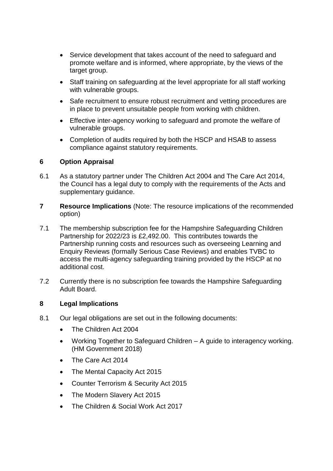- Service development that takes account of the need to safeguard and promote welfare and is informed, where appropriate, by the views of the target group.
- Staff training on safeguarding at the level appropriate for all staff working with vulnerable groups.
- Safe recruitment to ensure robust recruitment and vetting procedures are in place to prevent unsuitable people from working with children.
- Effective inter-agency working to safeguard and promote the welfare of vulnerable groups.
- Completion of audits required by both the HSCP and HSAB to assess compliance against statutory requirements.

## **6 Option Appraisal**

- 6.1 As a statutory partner under The Children Act 2004 and The Care Act 2014, the Council has a legal duty to comply with the requirements of the Acts and supplementary guidance.
- **7 Resource Implications** (Note: The resource implications of the recommended option)
- 7.1 The membership subscription fee for the Hampshire Safeguarding Children Partnership for 2022/23 is £2,492.00. This contributes towards the Partnership running costs and resources such as overseeing Learning and Enquiry Reviews (formally Serious Case Reviews) and enables TVBC to access the multi-agency safeguarding training provided by the HSCP at no additional cost.
- 7.2 Currently there is no subscription fee towards the Hampshire Safeguarding Adult Board.

#### **8 Legal Implications**

- 8.1 Our legal obligations are set out in the following documents:
	- The Children Act 2004
	- Working Together to Safeguard Children A guide to interagency working. (HM Government 2018)
	- The Care Act 2014
	- The Mental Capacity Act 2015
	- Counter Terrorism & Security Act 2015
	- The Modern Slavery Act 2015
	- The Children & Social Work Act 2017